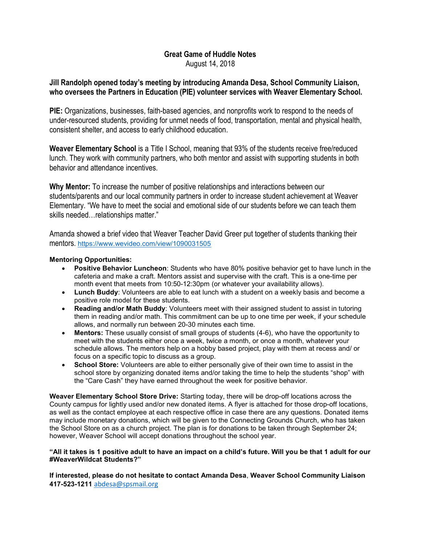# Great Game of Huddle Notes August 14, 2018

# Jill Randolph opened today's meeting by introducing Amanda Desa, School Community Liaison, who oversees the Partners in Education (PIE) volunteer services with Weaver Elementary School.

PIE: Organizations, businesses, faith-based agencies, and nonprofits work to respond to the needs of under-resourced students, providing for unmet needs of food, transportation, mental and physical health, consistent shelter, and access to early childhood education.

Weaver Elementary School is a Title I School, meaning that 93% of the students receive free/reduced lunch. They work with community partners, who both mentor and assist with supporting students in both behavior and attendance incentives.

Why Mentor: To increase the number of positive relationships and interactions between our students/parents and our local community partners in order to increase student achievement at Weaver Elementary. "We have to meet the social and emotional side of our students before we can teach them skills needed…relationships matter."

Amanda showed a brief video that Weaver Teacher David Greer put together of students thanking their mentors. https://www.wevideo.com/view/1090031505

## Mentoring Opportunities:

- Positive Behavior Luncheon: Students who have 80% positive behavior get to have lunch in the cafeteria and make a craft. Mentors assist and supervise with the craft. This is a one-time per month event that meets from 10:50-12:30pm (or whatever your availability allows).
- Lunch Buddy: Volunteers are able to eat lunch with a student on a weekly basis and become a positive role model for these students.
- Reading and/or Math Buddy: Volunteers meet with their assigned student to assist in tutoring them in reading and/or math. This commitment can be up to one time per week, if your schedule allows, and normally run between 20-30 minutes each time.
- Mentors: These usually consist of small groups of students (4-6), who have the opportunity to meet with the students either once a week, twice a month, or once a month, whatever your schedule allows. The mentors help on a hobby based project, play with them at recess and/ or focus on a specific topic to discuss as a group.
- School Store: Volunteers are able to either personally give of their own time to assist in the school store by organizing donated items and/or taking the time to help the students "shop" with the "Care Cash" they have earned throughout the week for positive behavior.

Weaver Elementary School Store Drive: Starting today, there will be drop-off locations across the County campus for lightly used and/or new donated items. A flyer is attached for those drop-off locations, as well as the contact employee at each respective office in case there are any questions. Donated items may include monetary donations, which will be given to the Connecting Grounds Church, who has taken the School Store on as a church project. The plan is for donations to be taken through September 24; however, Weaver School will accept donations throughout the school year.

### "All it takes is 1 positive adult to have an impact on a child's future. Will you be that 1 adult for our #WeaverWildcat Students?"

If interested, please do not hesitate to contact Amanda Desa, Weaver School Community Liaison 417-523-1211 abdesa@spsmail.org